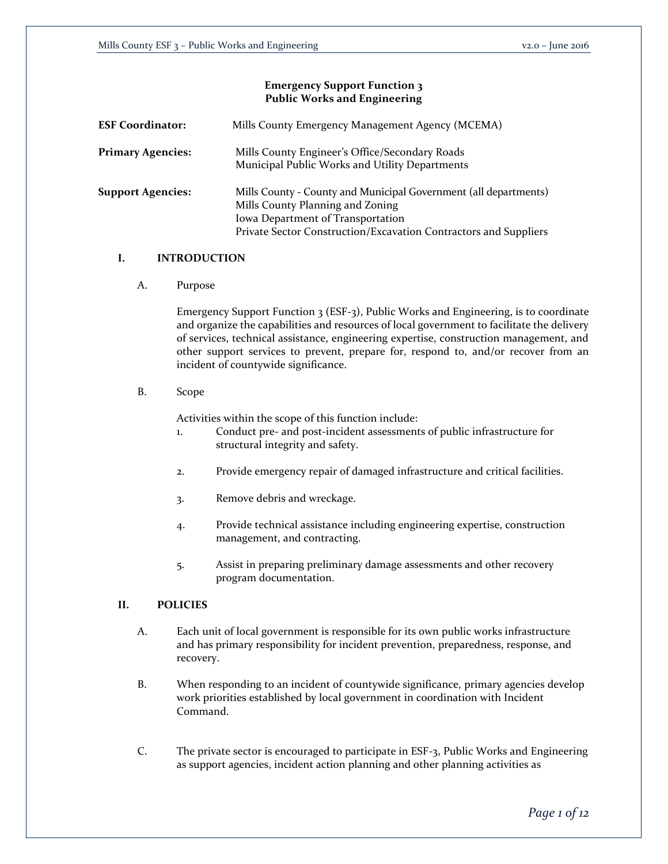## **Emergency Support Function 3 Public Works and Engineering**

| <b>ESF Coordinator:</b>  | Mills County Emergency Management Agency (MCEMA)                                                                                                                                                              |
|--------------------------|---------------------------------------------------------------------------------------------------------------------------------------------------------------------------------------------------------------|
| <b>Primary Agencies:</b> | Mills County Engineer's Office/Secondary Roads<br>Municipal Public Works and Utility Departments                                                                                                              |
| <b>Support Agencies:</b> | Mills County - County and Municipal Government (all departments)<br>Mills County Planning and Zoning<br>Iowa Department of Transportation<br>Private Sector Construction/Excavation Contractors and Suppliers |

## **I. INTRODUCTION**

A. Purpose

Emergency Support Function 3 (ESF-3), Public Works and Engineering, is to coordinate and organize the capabilities and resources of local government to facilitate the delivery of services, technical assistance, engineering expertise, construction management, and other support services to prevent, prepare for, respond to, and/or recover from an incident of countywide significance.

B. Scope

Activities within the scope of this function include:

- 1. Conduct pre- and post-incident assessments of public infrastructure for structural integrity and safety.
- 2. Provide emergency repair of damaged infrastructure and critical facilities.
- 3. Remove debris and wreckage.
- 4. Provide technical assistance including engineering expertise, construction management, and contracting.
- 5. Assist in preparing preliminary damage assessments and other recovery program documentation.

#### **II. POLICIES**

- A. Each unit of local government is responsible for its own public works infrastructure and has primary responsibility for incident prevention, preparedness, response, and recovery.
- B. When responding to an incident of countywide significance, primary agencies develop work priorities established by local government in coordination with Incident Command.
- C. The private sector is encouraged to participate in ESF-3, Public Works and Engineering as support agencies, incident action planning and other planning activities as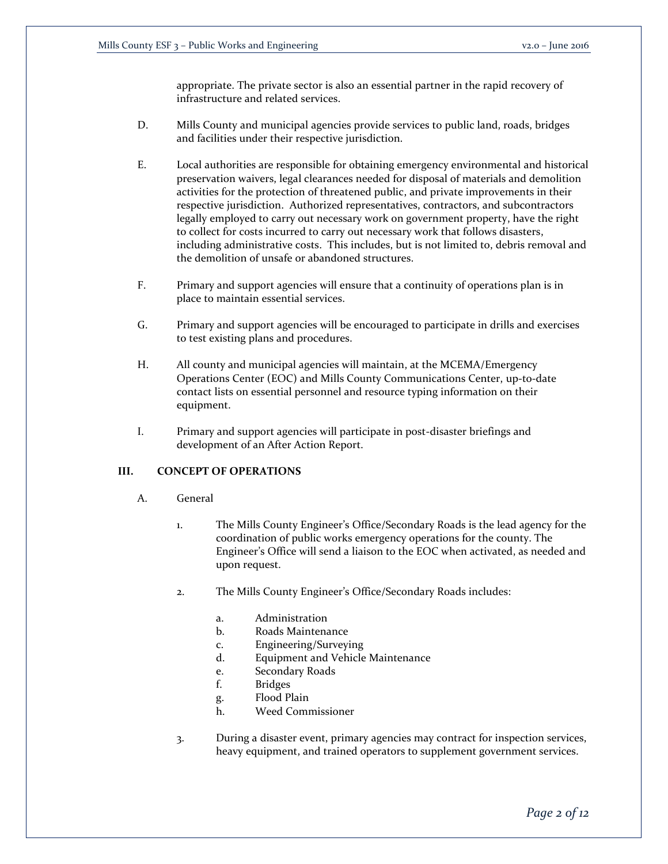appropriate. The private sector is also an essential partner in the rapid recovery of infrastructure and related services.

- D. Mills County and municipal agencies provide services to public land, roads, bridges and facilities under their respective jurisdiction.
- E. Local authorities are responsible for obtaining emergency environmental and historical preservation waivers, legal clearances needed for disposal of materials and demolition activities for the protection of threatened public, and private improvements in their respective jurisdiction. Authorized representatives, contractors, and subcontractors legally employed to carry out necessary work on government property, have the right to collect for costs incurred to carry out necessary work that follows disasters, including administrative costs. This includes, but is not limited to, debris removal and the demolition of unsafe or abandoned structures.
- F. Primary and support agencies will ensure that a continuity of operations plan is in place to maintain essential services.
- G. Primary and support agencies will be encouraged to participate in drills and exercises to test existing plans and procedures.
- H. All county and municipal agencies will maintain, at the MCEMA/Emergency Operations Center (EOC) and Mills County Communications Center, up-to-date contact lists on essential personnel and resource typing information on their equipment.
- I. Primary and support agencies will participate in post-disaster briefings and development of an After Action Report.

## **III. CONCEPT OF OPERATIONS**

- A. General
	- 1. The Mills County Engineer's Office/Secondary Roads is the lead agency for the coordination of public works emergency operations for the county. The Engineer's Office will send a liaison to the EOC when activated, as needed and upon request.
	- 2. The Mills County Engineer's Office/Secondary Roads includes:
		- a. Administration
		- b. Roads Maintenance
		- c. Engineering/Surveying
		- d. Equipment and Vehicle Maintenance
		- e. Secondary Roads
		- f. Bridges
		- g. Flood Plain
		- h. Weed Commissioner
	- 3. During a disaster event, primary agencies may contract for inspection services, heavy equipment, and trained operators to supplement government services.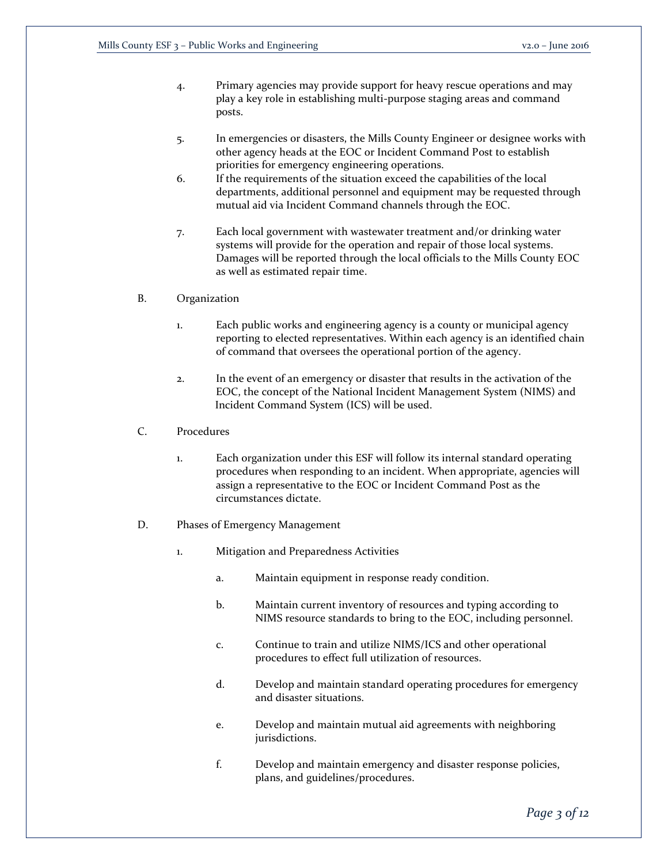- 4. Primary agencies may provide support for heavy rescue operations and may play a key role in establishing multi-purpose staging areas and command posts.
- 5. In emergencies or disasters, the Mills County Engineer or designee works with other agency heads at the EOC or Incident Command Post to establish priorities for emergency engineering operations.
- 6. If the requirements of the situation exceed the capabilities of the local departments, additional personnel and equipment may be requested through mutual aid via Incident Command channels through the EOC.
- 7. Each local government with wastewater treatment and/or drinking water systems will provide for the operation and repair of those local systems. Damages will be reported through the local officials to the Mills County EOC as well as estimated repair time.
- B. Organization
	- 1. Each public works and engineering agency is a county or municipal agency reporting to elected representatives. Within each agency is an identified chain of command that oversees the operational portion of the agency.
	- 2. In the event of an emergency or disaster that results in the activation of the EOC, the concept of the National Incident Management System (NIMS) and Incident Command System (ICS) will be used.
- C. Procedures
	- 1. Each organization under this ESF will follow its internal standard operating procedures when responding to an incident. When appropriate, agencies will assign a representative to the EOC or Incident Command Post as the circumstances dictate.
- D. Phases of Emergency Management
	- 1. Mitigation and Preparedness Activities
		- a. Maintain equipment in response ready condition.
		- b. Maintain current inventory of resources and typing according to NIMS resource standards to bring to the EOC, including personnel.
		- c. Continue to train and utilize NIMS/ICS and other operational procedures to effect full utilization of resources.
		- d. Develop and maintain standard operating procedures for emergency and disaster situations.
		- e. Develop and maintain mutual aid agreements with neighboring jurisdictions.
		- f. Develop and maintain emergency and disaster response policies, plans, and guidelines/procedures.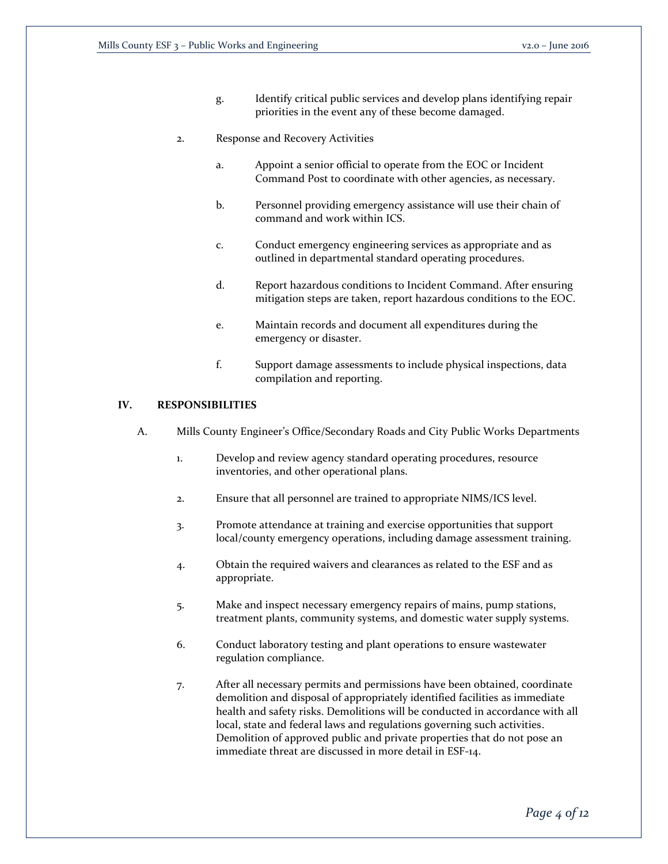g. Identify critical public services and develop plans identifying repair priorities in the event any of these become damaged.

#### 2. Response and Recovery Activities

- a. Appoint a senior official to operate from the EOC or Incident Command Post to coordinate with other agencies, as necessary.
- b. Personnel providing emergency assistance will use their chain of command and work within ICS.
- c. Conduct emergency engineering services as appropriate and as outlined in departmental standard operating procedures.
- d. Report hazardous conditions to Incident Command. After ensuring mitigation steps are taken, report hazardous conditions to the EOC.
- e. Maintain records and document all expenditures during the emergency or disaster.
- f. Support damage assessments to include physical inspections, data compilation and reporting.

### **IV. RESPONSIBILITIES**

- A. Mills County Engineer's Office/Secondary Roads and City Public Works Departments
	- 1. Develop and review agency standard operating procedures, resource inventories, and other operational plans.
	- 2. Ensure that all personnel are trained to appropriate NIMS/ICS level.
	- 3. Promote attendance at training and exercise opportunities that support local/county emergency operations, including damage assessment training.
	- 4. Obtain the required waivers and clearances as related to the ESF and as appropriate.
	- 5. Make and inspect necessary emergency repairs of mains, pump stations, treatment plants, community systems, and domestic water supply systems.
	- 6. Conduct laboratory testing and plant operations to ensure wastewater regulation compliance.
	- 7. After all necessary permits and permissions have been obtained, coordinate demolition and disposal of appropriately identified facilities as immediate health and safety risks. Demolitions will be conducted in accordance with all local, state and federal laws and regulations governing such activities. Demolition of approved public and private properties that do not pose an immediate threat are discussed in more detail in ESF-14.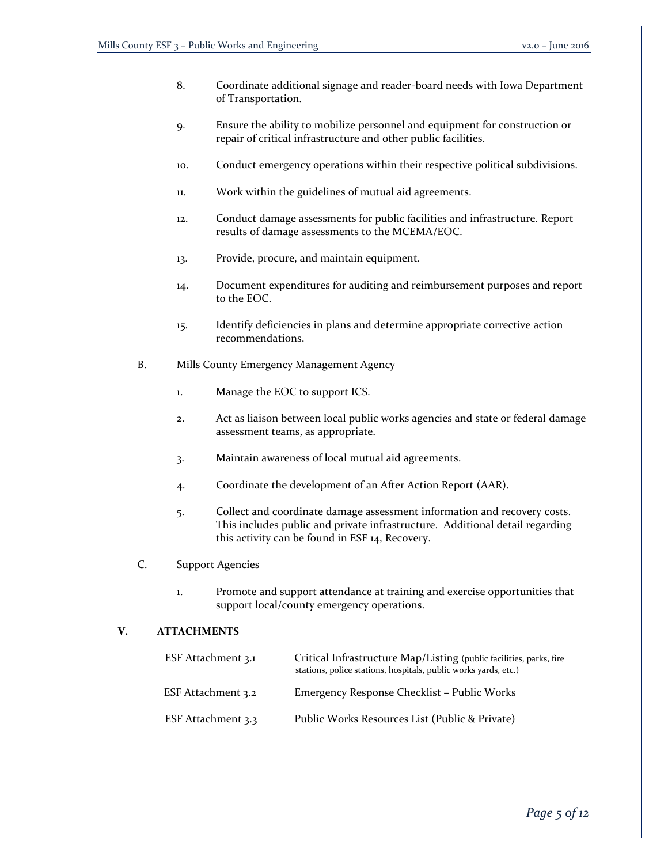- 8. Coordinate additional signage and reader-board needs with Iowa Department of Transportation.
- 9. Ensure the ability to mobilize personnel and equipment for construction or repair of critical infrastructure and other public facilities.
- 10. Conduct emergency operations within their respective political subdivisions.
- 11. Work within the guidelines of mutual aid agreements.
- 12. Conduct damage assessments for public facilities and infrastructure. Report results of damage assessments to the MCEMA/EOC.
- 13. Provide, procure, and maintain equipment.
- 14. Document expenditures for auditing and reimbursement purposes and report to the EOC.
- 15. Identify deficiencies in plans and determine appropriate corrective action recommendations.
- B. Mills County Emergency Management Agency
	- 1. Manage the EOC to support ICS.
	- 2. Act as liaison between local public works agencies and state or federal damage assessment teams, as appropriate.
	- 3. Maintain awareness of local mutual aid agreements.
	- 4. Coordinate the development of an After Action Report (AAR).
	- 5. Collect and coordinate damage assessment information and recovery costs. This includes public and private infrastructure. Additional detail regarding this activity can be found in ESF 14, Recovery.
- C. Support Agencies
	- 1. Promote and support attendance at training and exercise opportunities that support local/county emergency operations.

## **V. ATTACHMENTS**

| ESF Attachment 3.1 | Critical Infrastructure Map/Listing (public facilities, parks, fire<br>stations, police stations, hospitals, public works yards, etc.) |
|--------------------|----------------------------------------------------------------------------------------------------------------------------------------|
| ESF Attachment 3.2 | Emergency Response Checklist – Public Works                                                                                            |
| ESF Attachment 3.3 | Public Works Resources List (Public & Private)                                                                                         |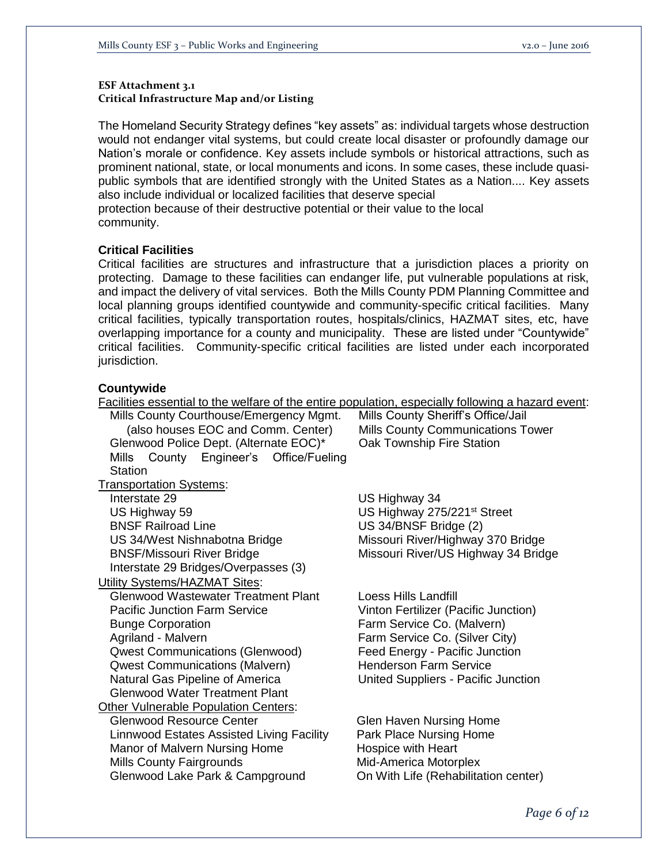## **ESF Attachment 3.1 Critical Infrastructure Map and/or Listing**

The Homeland Security Strategy defines "key assets" as: individual targets whose destruction would not endanger vital systems, but could create local disaster or profoundly damage our Nation's morale or confidence. Key assets include symbols or historical attractions, such as prominent national, state, or local monuments and icons. In some cases, these include quasipublic symbols that are identified strongly with the United States as a Nation.... Key assets also include individual or localized facilities that deserve special

protection because of their destructive potential or their value to the local community.

## **Critical Facilities**

Critical facilities are structures and infrastructure that a jurisdiction places a priority on protecting. Damage to these facilities can endanger life, put vulnerable populations at risk, and impact the delivery of vital services. Both the Mills County PDM Planning Committee and local planning groups identified countywide and community-specific critical facilities. Many critical facilities, typically transportation routes, hospitals/clinics, HAZMAT sites, etc, have overlapping importance for a county and municipality. These are listed under "Countywide" critical facilities. Community-specific critical facilities are listed under each incorporated jurisdiction.

# **Countywide**

| Facilities essential to the welfare of the entire population, especially following a hazard event: |                                          |
|----------------------------------------------------------------------------------------------------|------------------------------------------|
| Mills County Courthouse/Emergency Mgmt.                                                            | Mills County Sheriff's Office/Jail       |
| (also houses EOC and Comm. Center)                                                                 | <b>Mills County Communications Tower</b> |
| Glenwood Police Dept. (Alternate EOC)*                                                             | Oak Township Fire Station                |
| County<br>Engineer's Office/Fueling<br>Mills                                                       |                                          |
| <b>Station</b>                                                                                     |                                          |
| <b>Transportation Systems:</b>                                                                     |                                          |
| Interstate 29                                                                                      | US Highway 34                            |
| US Highway 59                                                                                      | US Highway 275/221 <sup>st</sup> Street  |
| <b>BNSF Railroad Line</b>                                                                          | US 34/BNSF Bridge (2)                    |
| US 34/West Nishnabotna Bridge                                                                      | Missouri River/Highway 370 Bridge        |
| <b>BNSF/Missouri River Bridge</b>                                                                  | Missouri River/US Highway 34 Bridge      |
| Interstate 29 Bridges/Overpasses (3)                                                               |                                          |
| <b>Utility Systems/HAZMAT Sites:</b>                                                               |                                          |
| <b>Glenwood Wastewater Treatment Plant</b>                                                         | Loess Hills Landfill                     |
| <b>Pacific Junction Farm Service</b>                                                               | Vinton Fertilizer (Pacific Junction)     |
| <b>Bunge Corporation</b>                                                                           | Farm Service Co. (Malvern)               |
| Agriland - Malvern                                                                                 | Farm Service Co. (Silver City)           |
| <b>Qwest Communications (Glenwood)</b>                                                             | Feed Energy - Pacific Junction           |
| <b>Qwest Communications (Malvern)</b>                                                              | <b>Henderson Farm Service</b>            |
| Natural Gas Pipeline of America                                                                    | United Suppliers - Pacific Junction      |
| <b>Glenwood Water Treatment Plant</b>                                                              |                                          |
| <b>Other Vulnerable Population Centers:</b>                                                        |                                          |
| <b>Glenwood Resource Center</b>                                                                    | Glen Haven Nursing Home                  |
| Linnwood Estates Assisted Living Facility                                                          | Park Place Nursing Home                  |
| Manor of Malvern Nursing Home                                                                      | Hospice with Heart                       |
| Mills County Fairgrounds                                                                           | Mid-America Motorplex                    |
| Glenwood Lake Park & Campground                                                                    | On With Life (Rehabilitation center)     |

*Page 6 of 12*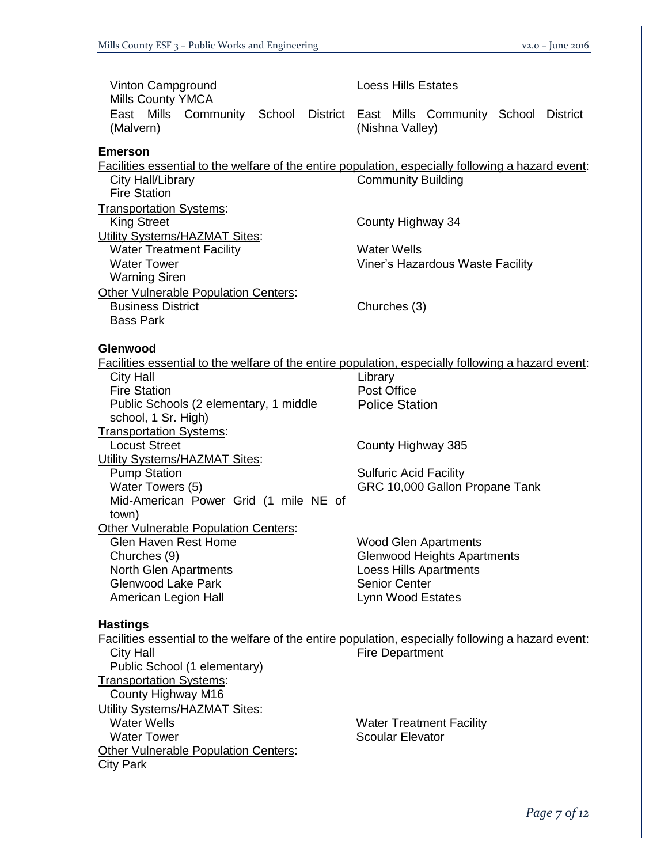| <b>Loess Hills Estates</b>                                                                                                                      |
|-------------------------------------------------------------------------------------------------------------------------------------------------|
| East Mills Community School District East Mills Community School District<br>(Nishna Valley)                                                    |
| Facilities essential to the welfare of the entire population, especially following a hazard event:                                              |
| <b>Community Building</b>                                                                                                                       |
| County Highway 34                                                                                                                               |
| <b>Water Wells</b><br>Viner's Hazardous Waste Facility                                                                                          |
| Churches (3)                                                                                                                                    |
| Facilities essential to the welfare of the entire population, especially following a hazard event:                                              |
| Library<br>Post Office<br><b>Police Station</b>                                                                                                 |
| County Highway 385                                                                                                                              |
| <b>Sulfuric Acid Facility</b><br>GRC 10,000 Gallon Propane Tank                                                                                 |
| <b>Wood Glen Apartments</b><br><b>Glenwood Heights Apartments</b><br><b>Loess Hills Apartments</b><br><b>Senior Center</b><br>Lynn Wood Estates |
| Facilities essential to the welfare of the entire population, especially following a hazard event:                                              |
| <b>Fire Department</b><br><b>Water Treatment Facility</b><br><b>Scoular Elevator</b>                                                            |
|                                                                                                                                                 |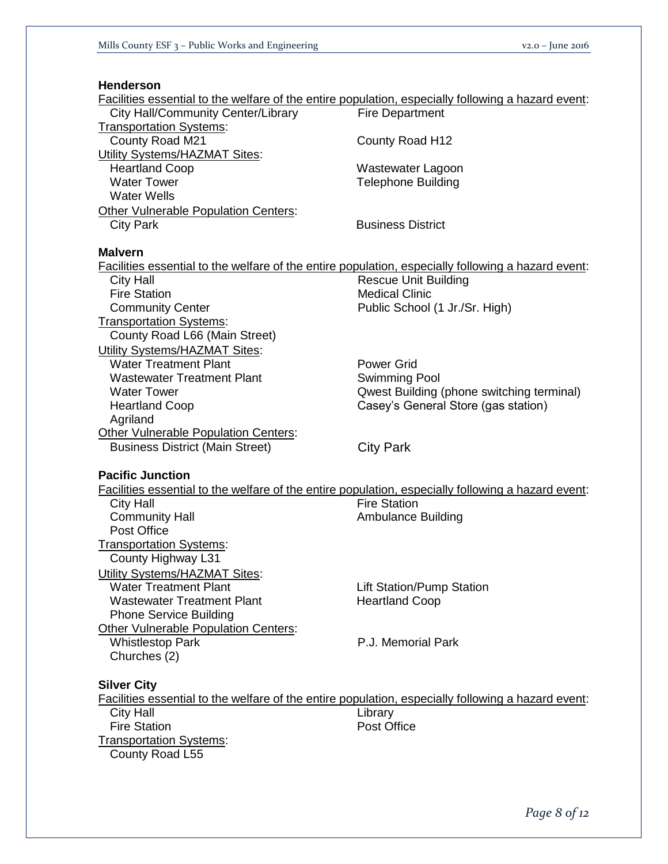# **Henderson**

| Facilities essential to the welfare of the entire population, especially following a hazard event:        |                                           |
|-----------------------------------------------------------------------------------------------------------|-------------------------------------------|
| <b>City Hall/Community Center/Library</b>                                                                 | <b>Fire Department</b>                    |
| <b>Transportation Systems:</b>                                                                            |                                           |
| County Road M21                                                                                           | County Road H12                           |
| Utility Systems/HAZMAT Sites:                                                                             |                                           |
| <b>Heartland Coop</b>                                                                                     | Wastewater Lagoon                         |
| <b>Water Tower</b>                                                                                        | <b>Telephone Building</b>                 |
| <b>Water Wells</b>                                                                                        |                                           |
| Other Vulnerable Population Centers:                                                                      |                                           |
| <b>City Park</b>                                                                                          | <b>Business District</b>                  |
|                                                                                                           |                                           |
| <b>Malvern</b>                                                                                            |                                           |
| <b>Facilities essential to the welfare of the entire population, especially following a hazard event:</b> |                                           |
| <b>City Hall</b>                                                                                          | <b>Rescue Unit Building</b>               |
| <b>Fire Station</b>                                                                                       | <b>Medical Clinic</b>                     |
| <b>Community Center</b>                                                                                   | Public School (1 Jr./Sr. High)            |
| <b>Transportation Systems:</b>                                                                            |                                           |
| County Road L66 (Main Street)                                                                             |                                           |
| <b>Utility Systems/HAZMAT Sites:</b>                                                                      |                                           |
| <b>Water Treatment Plant</b>                                                                              | <b>Power Grid</b>                         |
| <b>Wastewater Treatment Plant</b>                                                                         | <b>Swimming Pool</b>                      |
| <b>Water Tower</b>                                                                                        | Qwest Building (phone switching terminal) |
| <b>Heartland Coop</b>                                                                                     | Casey's General Store (gas station)       |
| Agriland                                                                                                  |                                           |
| <b>Other Vulnerable Population Centers:</b>                                                               |                                           |
| <b>Business District (Main Street)</b>                                                                    | <b>City Park</b>                          |
|                                                                                                           |                                           |
| <b>Pacific Junction</b>                                                                                   |                                           |
| Facilities essential to the welfare of the entire population, especially following a hazard event:        |                                           |
| <b>City Hall</b>                                                                                          | <b>Fire Station</b>                       |
| <b>Community Hall</b>                                                                                     | <b>Ambulance Building</b>                 |
| Post Office                                                                                               |                                           |
| <b>Transportation Systems:</b>                                                                            |                                           |
| County Highway L31                                                                                        |                                           |
| Utility Systems/HAZMAT Sites:                                                                             |                                           |
| <b>Water Treatment Plant</b>                                                                              | <b>Lift Station/Pump Station</b>          |
| <b>Wastewater Treatment Plant</b>                                                                         | <b>Heartland Coop</b>                     |
| <b>Phone Service Building</b>                                                                             |                                           |
| <b>Other Vulnerable Population Centers:</b>                                                               |                                           |
| <b>Whistlestop Park</b>                                                                                   | P.J. Memorial Park                        |
| Churches (2)                                                                                              |                                           |
|                                                                                                           |                                           |
| <b>Silver City</b>                                                                                        |                                           |
| Facilities essential to the welfare of the entire population, especially following a hazard event:        |                                           |
| <b>City Hall</b>                                                                                          | Library                                   |
| <b>Fire Station</b>                                                                                       | Post Office                               |
| <b>Transportation Systems:</b>                                                                            |                                           |
|                                                                                                           |                                           |
| County Road L55                                                                                           |                                           |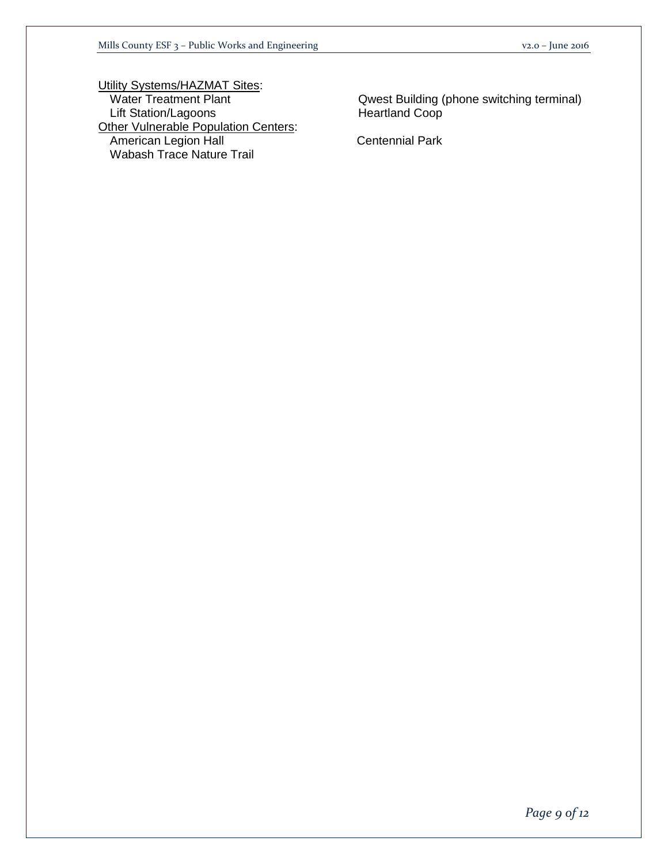Utility Systems/HAZMAT Sites:<br>Water Treatment Plant Lift Station/Lagoons **Heartland Coop Other Vulnerable Population Centers:** American Legion Hall **Centennial Park** Wabash Trace Nature Trail

Qwest Building (phone switching terminal)

*Page 9 of 12*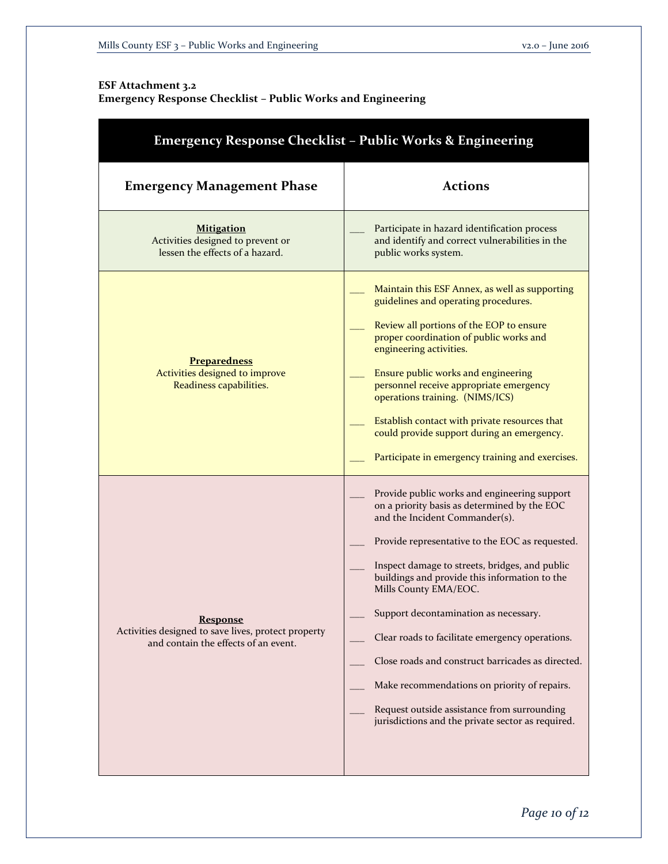# **ESF Attachment 3.2**

**Emergency Response Checklist – Public Works and Engineering**

| <b>Emergency Response Checklist - Public Works &amp; Engineering</b>                                           |                                                                                                                                                                                                                                                                                                                                                                                                                                                                                                                                                                                                                    |
|----------------------------------------------------------------------------------------------------------------|--------------------------------------------------------------------------------------------------------------------------------------------------------------------------------------------------------------------------------------------------------------------------------------------------------------------------------------------------------------------------------------------------------------------------------------------------------------------------------------------------------------------------------------------------------------------------------------------------------------------|
| <b>Emergency Management Phase</b>                                                                              | <b>Actions</b>                                                                                                                                                                                                                                                                                                                                                                                                                                                                                                                                                                                                     |
| <b>Mitigation</b><br>Activities designed to prevent or<br>lessen the effects of a hazard.                      | Participate in hazard identification process<br>and identify and correct vulnerabilities in the<br>public works system.                                                                                                                                                                                                                                                                                                                                                                                                                                                                                            |
| <b>Preparedness</b><br>Activities designed to improve<br>Readiness capabilities.                               | Maintain this ESF Annex, as well as supporting<br>guidelines and operating procedures.<br>Review all portions of the EOP to ensure<br>proper coordination of public works and<br>engineering activities.<br>Ensure public works and engineering<br>personnel receive appropriate emergency<br>operations training. (NIMS/ICS)<br>Establish contact with private resources that<br>could provide support during an emergency.<br>Participate in emergency training and exercises.                                                                                                                                   |
| <b>Response</b><br>Activities designed to save lives, protect property<br>and contain the effects of an event. | Provide public works and engineering support<br>on a priority basis as determined by the EOC<br>and the Incident Commander(s).<br>Provide representative to the EOC as requested.<br>Inspect damage to streets, bridges, and public<br>buildings and provide this information to the<br>Mills County EMA/EOC.<br>Support decontamination as necessary.<br>Clear roads to facilitate emergency operations.<br>Close roads and construct barricades as directed.<br>Make recommendations on priority of repairs.<br>Request outside assistance from surrounding<br>jurisdictions and the private sector as required. |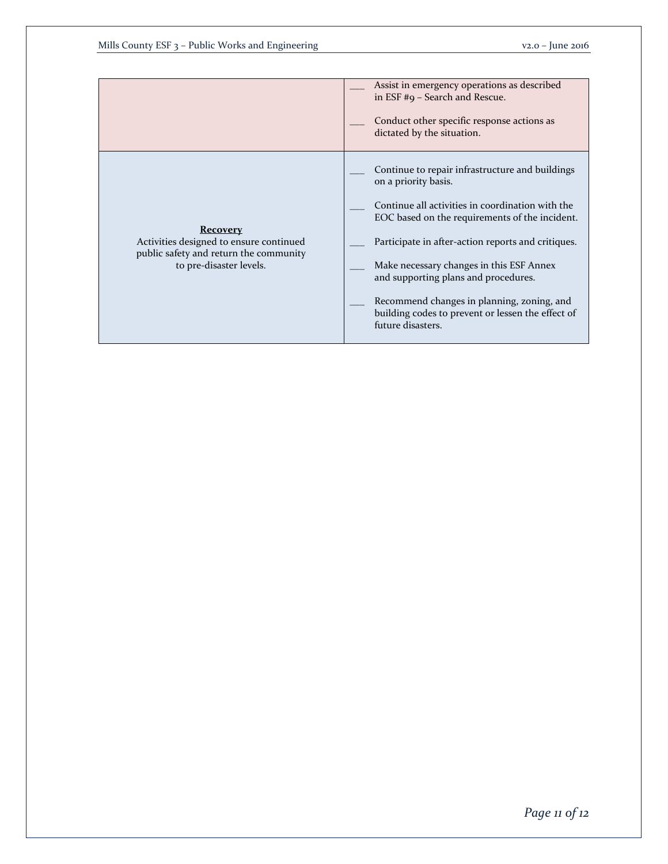|                                                                                   | Assist in emergency operations as described<br>in ESF #9 - Search and Rescue.                                        |
|-----------------------------------------------------------------------------------|----------------------------------------------------------------------------------------------------------------------|
|                                                                                   | Conduct other specific response actions as<br>dictated by the situation.                                             |
|                                                                                   | Continue to repair infrastructure and buildings<br>on a priority basis.                                              |
| <b>Recovery</b>                                                                   | Continue all activities in coordination with the<br>EOC based on the requirements of the incident.                   |
| Activities designed to ensure continued<br>public safety and return the community | Participate in after-action reports and critiques.                                                                   |
| to pre-disaster levels.                                                           | Make necessary changes in this ESF Annex<br>and supporting plans and procedures.                                     |
|                                                                                   | Recommend changes in planning, zoning, and<br>building codes to prevent or lessen the effect of<br>future disasters. |
|                                                                                   |                                                                                                                      |